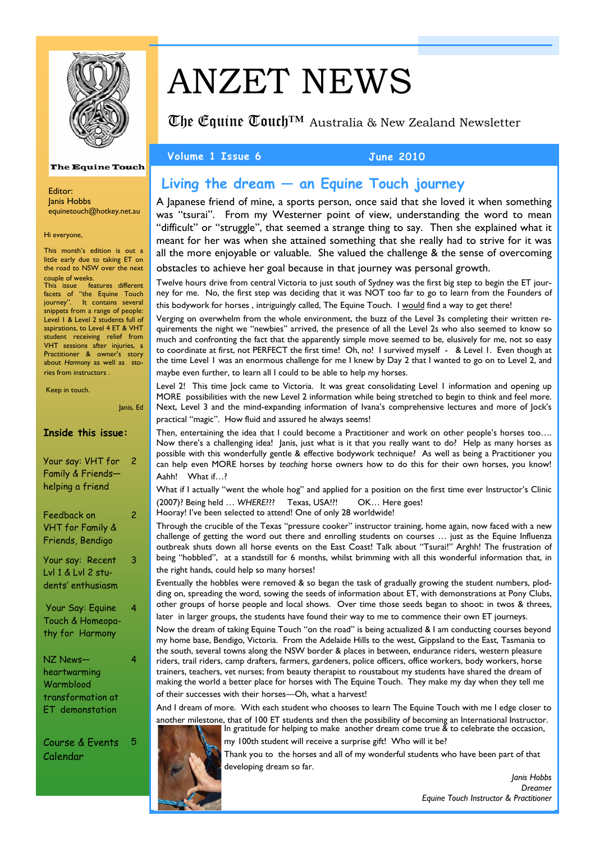

# ANZET NEWS

**The Equine Touch**<sup>TM</sup> Australia & New Zealand Newsletter

**The Equine Touch** 

Editor: Janis Hobbs equinetouch@hotkey.net.au

Hi everyone,

This month's edition is out a little early due to taking ET on the road to NSW over the next

couple of weeks. This issue features different facets of "the Equine Touch journey". It contains several snippets from a range of people: Level 1 & Level 2 students full of aspirations, to Level 4 ET & VHT student receiving relief from VHT sessions after injuries, a Practitioner & owner's story about *Harmony* as well as stories from instructors .

Keep in touch.

Janis, Ed

#### **Inside this issue:**

| Your say: VHT for<br>Family & Friends-<br>helping a friend                           | 2 |
|--------------------------------------------------------------------------------------|---|
| Feedback on<br><b>VHT for Family &amp;</b><br>Friends, Bendigo                       | 2 |
| Your say: Recent<br>Lvl 1 & Lvl 2 stu-<br>dents' enthusiasm                          | 3 |
| Your Say: Equine<br>Touch & Homeopa-<br>thy for Harmony                              | 4 |
| NZ News—<br>heartwarming<br>Warmblood<br>transformation at<br><b>ET</b> demonstation | 4 |

Course & Events Calendar 5

## **Living the dream — an Equine Touch journey**

A Japanese friend of mine, a sports person, once said that she loved it when something was "tsurai". From my Westerner point of view, understanding the word to mean "difficult" or "struggle", that seemed a strange thing to say. Then she explained what it meant for her was when she attained something that she really had to strive for it was all the more enjoyable or valuable. She valued the challenge & the sense of overcoming obstacles to achieve her goal because in that journey was personal growth.

Twelve hours drive from central Victoria to just south of Sydney was the first big step to begin the ET journey for me. No, the first step was deciding that it was NOT too far to go to learn from the Founders of this bodywork for horses, intriguingly called, The Equine Touch. I would find a way to get there!

Verging on overwhelm from the whole environment, the buzz of the Level 3s completing their written requirements the night we "newbies" arrived, the presence of all the Level 2s who also seemed to know so much and confronting the fact that the apparently simple move seemed to be, elusively for me, not so easy to coordinate at first, not PERFECT the first time! Oh, no! I survived myself - & Level 1. Even though at the time Level 1 was an enormous challenge for me I knew by Day 2 that I wanted to go on to Level 2, and maybe even further, to learn all I could to be able to help my horses.

Level 2! This time Jock came to Victoria. It was great consolidating Level 1 information and opening up MORE possibilities with the new Level 2 information while being stretched to begin to think and feel more. Next, Level 3 and the mind-expanding information of Ivana's comprehensive lectures and more of Jock's practical "magic". How fluid and assured he always seems!

Then, entertaining the idea that I could become a Practitioner and work on other people's horses too.... Now there's a challenging idea! Janis, just what is it that you really want to do? Help as many horses as possible with this wonderfully gentle & effective bodywork technique? As well as being a Practitioner you can help even MORE horses by *teaching* horse owners how to do this for their own horses, you know! Aahh! What if…?

What if I actually "went the whole hog" and applied for a position on the first time ever Instructor's Clinic (2007)? Being held … *WHERE*??? Texas, USA!?! OK… Here goes!

Hooray! I've been selected to attend! One of only 28 worldwide!

Through the crucible of the Texas "pressure cooker" instructor training, home again, now faced with a new challenge of getting the word out there and enrolling students on courses … just as the Equine Influenza outbreak shuts down all horse events on the East Coast! Talk about "Tsurai!" Arghh! The frustration of being "hobbled", at a standstill for 6 months, whilst brimming with all this wonderful information that, in the right hands, could help so many horses!

Eventually the hobbles were removed & so began the task of gradually growing the student numbers, plodding on, spreading the word, sowing the seeds of information about ET, with demonstrations at Pony Clubs, other groups of horse people and local shows. Over time those seeds began to shoot: in twos & threes, later in larger groups, the students have found their way to me to commence their own ET journeys.

Now the dream of taking Equine Touch "on the road" is being actualized & I am conducting courses beyond my home base, Bendigo, Victoria. From the Adelaide Hills to the west, Gippsland to the East, Tasmania to the south, several towns along the NSW border & places in between, endurance riders, western pleasure riders, trail riders, camp drafters, farmers, gardeners, police officers, office workers, body workers, horse trainers, teachers, vet nurses; from beauty therapist to roustabout my students have shared the dream of making the world a better place for horses with The Equine Touch. They make my day when they tell me of their successes with their horses—Oh, what a harvest!

And I dream of more. With each student who chooses to learn The Equine Touch with me I edge closer to another milestone, that of 100 ET students and then the possibility of becoming an International Instructor. In gratitude for helping to make another dream come true & to celebrate the occasion,



my 100th student will receive a surprise gift! Who will it be? Thank you to the horses and all of my wonderful students who have been part of that developing dream so far.

> *Janis Hobbs Dreamer Equine Touch Instructor & Practitioner*

#### Volume 1 Issue 6 June 2010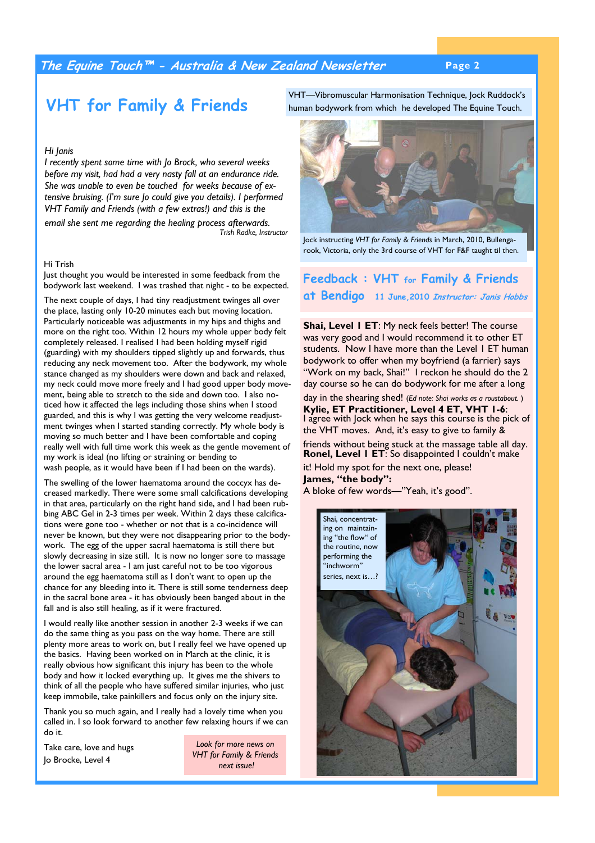## **The Equine Touch™ - Australia & New Zealand Newsletter Page 2**

# **VHT for Family & Friends**

#### *Hi Janis*

*I recently spent some time with Jo Brock, who several weeks before my visit, had had a very nasty fall at an endurance ride. She was unable to even be touched for weeks because of extensive bruising. (I'm sure Jo could give you details). I performed VHT Family and Friends (with a few extras!) and this is the* 

*email she sent me regarding the healing process afterwards. Trish Radke, Instructor* 

#### Hi Trish

Just thought you would be interested in some feedback from the bodywork last weekend. I was trashed that night - to be expected.

The next couple of days, I had tiny readjustment twinges all over the place, lasting only 10-20 minutes each but moving location. Particularly noticeable was adjustments in my hips and thighs and more on the right too. Within 12 hours my whole upper body felt completely released. I realised I had been holding myself rigid (guarding) with my shoulders tipped slightly up and forwards, thus reducing any neck movement too. After the bodywork, my whole stance changed as my shoulders were down and back and relaxed, my neck could move more freely and I had good upper body movement, being able to stretch to the side and down too. I also noticed how it affected the legs including those shins when I stood guarded, and this is why I was getting the very welcome readjustment twinges when I started standing correctly. My whole body is moving so much better and I have been comfortable and coping really well with full time work this week as the gentle movement of my work is ideal (no lifting or straining or bending to wash people, as it would have been if I had been on the wards).

The swelling of the lower haematoma around the coccyx has decreased markedly. There were some small calcifications developing in that area, particularly on the right hand side, and I had been rubbing ABC Gel in 2-3 times per week. Within 2 days these calcifications were gone too - whether or not that is a co-incidence will never be known, but they were not disappearing prior to the bodywork. The egg of the upper sacral haematoma is still there but slowly decreasing in size still. It is now no longer sore to massage the lower sacral area - I am just careful not to be too vigorous around the egg haematoma still as I don't want to open up the chance for any bleeding into it. There is still some tenderness deep in the sacral bone area - it has obviously been banged about in the fall and is also still healing, as if it were fractured.

I would really like another session in another 2-3 weeks if we can do the same thing as you pass on the way home. There are still plenty more areas to work on, but I really feel we have opened up the basics. Having been worked on in March at the clinic, it is really obvious how significant this injury has been to the whole body and how it locked everything up. It gives me the shivers to think of all the people who have suffered similar injuries, who just keep immobile, take painkillers and focus only on the injury site.

Thank you so much again, and I really had a lovely time when you called in. I so look forward to another few relaxing hours if we can do it.

Take care, love and hugs Jo Brocke, Level 4

*Look for more news on VHT for Family & Friends next issue!* 

VHT—Vibromuscular Harmonisation Technique, Jock Ruddock's human bodywork from which he developed The Equine Touch.



Jock instructing *VHT for Family & Friends* in March, 2010, Bullengarook, Victoria, only the 3rd course of VHT for F&F taught til then.

## **Feedback : VHT for Family & Friends at Bendigo 11 June,2010 Instructor: Janis Hobbs**

**Shai, Level I ET:** My neck feels better! The course was very good and I would recommend it to other ET students. Now I have more than the Level 1 ET human bodywork to offer when my boyfriend (a farrier) says "Work on my back, Shai!" I reckon he should do the 2 day course so he can do bodywork for me after a long

day in the shearing shed! (*Ed note: Shai works as a roustabout.* ) **Kylie, ET Practitioner, Level 4 ET, VHT 1-6**: I agree with Jock when he says this course is the pick of the VHT moves. And, it's easy to give to family & friends without being stuck at the massage table all day. **Ronel, Level 1 ET**: So disappointed I couldn't make

it! Hold my spot for the next one, please! **James, "the body":**  A bloke of few words—"Yeah, it's good".

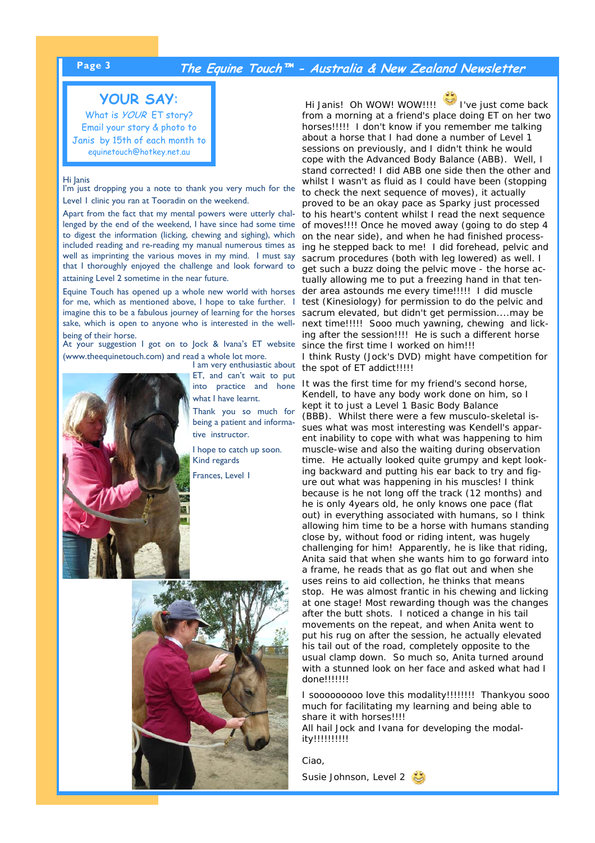## **Page 3 The Equine Touch™ - Australia & New Zealand Newsletter**

## **YOUR SAY**:

What is *YOUR* ET story? Email your story & photo to Janis by 15th of each month to equinetouch@hotkey.net.au

#### Hi Janis

I'm just dropping you a note to thank you very much for the Level 1 clinic you ran at Tooradin on the weekend.

Apart from the fact that my mental powers were utterly challenged by the end of the weekend, I have since had some time to digest the information (licking, chewing and sighing), which included reading and re-reading my manual numerous times as well as imprinting the various moves in my mind. I must say that I thoroughly enjoyed the challenge and look forward to attaining Level 2 sometime in the near future.

Equine Touch has opened up a whole new world with horses for me, which as mentioned above, I hope to take further. I imagine this to be a fabulous journey of learning for the horses sake, which is open to anyone who is interested in the wellbeing of their horse.

At your suggestion I got on to Jock & Ivana's ET website (www.theequinetouch.com) and read a whole lot more.



I am very enthusiastic about ET, and can't wait to put into practice and hone what I have learnt.

Thank you so much for being a patient and informative instructor.

I hope to catch up soon. Kind regards

Frances, Level 1



*Hi Janis! Oh WOW! WOW!!!! I've just come back from a morning at a friend's place doing ET on her two horses!!!!! I don't know if you remember me talking about a horse that I had done a number of Level 1 sessions on previously, and I didn't think he would cope with the Advanced Body Balance (ABB). Well, I stand corrected! I did ABB one side then the other and whilst I wasn't as fluid as I could have been (stopping to check the next sequence of moves), it actually proved to be an okay pace as Sparky just processed to his heart's content whilst I read the next sequence of moves!!!! Once he moved away (going to do step 4 on the near side), and when he had finished processing he stepped back to me! I did forehead, pelvic and sacrum procedures (both with leg lowered) as well. I get such a buzz doing the pelvic move - the horse actually allowing me to put a freezing hand in that tender area astounds me every time!!!!! I did muscle test (Kinesiology) for permission to do the pelvic and sacrum elevated, but didn't get permission....may be next time!!!!! Sooo much yawning, chewing and licking after the session!!!! He is such a different horse since the first time I worked on him!!! I think Rusty (Jock's DVD) might have competition for the spot of ET addict!!!!!* 

*It was the first time for my friend's second horse, Kendell, to have any body work done on him, so I kept it to just a Level 1 Basic Body Balance (BBB). Whilst there were a few musculo-skeletal issues what was most interesting was Kendell's apparent inability to cope with what was happening to him muscle-wise and also the waiting during observation time. He actually looked quite grumpy and kept looking backward and putting his ear back to try and figure out what was happening in his muscles! I think because is he not long off the track (12 months) and he is only 4years old, he only knows one pace (flat out) in everything associated with humans, so I think allowing him time to be a horse with humans standing close by, without food or riding intent, was hugely challenging for him! Apparently, he is like that riding, Anita said that when she wants him to go forward into a frame, he reads that as go flat out and when she uses reins to aid collection, he thinks that means stop. He was almost frantic in his chewing and licking at one stage! Most rewarding though was the changes after the butt shots. I noticed a change in his tail movements on the repeat, and when Anita went to put his rug on after the session, he actually elevated his tail out of the road, completely opposite to the usual clamp down. So much so, Anita turned around with a stunned look on her face and asked what had I done!!!!!!!* 

*I sooooooooo love this modality!!!!!!!! Thankyou sooo much for facilitating my learning and being able to share it with horses!!!! All hail Jock and Ivana for developing the modality!!!!!!!!!!* 

*Ciao,* 

Susie Johnson, Level 2